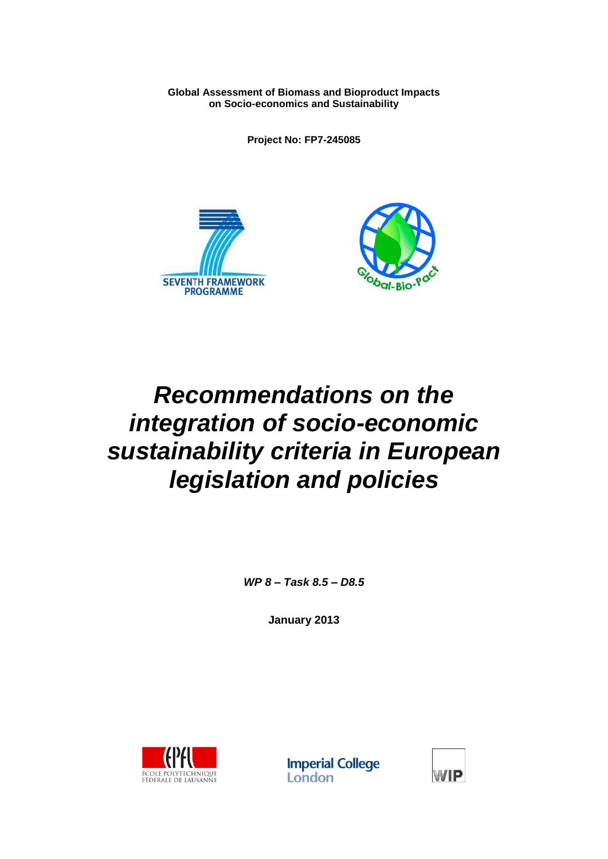**Global Assessment of Biomass and Bioproduct Impacts on Socio-economics and Sustainability**

**Project No: FP7-245085**





# *Recommendations on the integration of socio-economic sustainability criteria in European legislation and policies*

*WP 8 – Task 8.5 – D8.5*

**January 2013**



**Imperial College** London

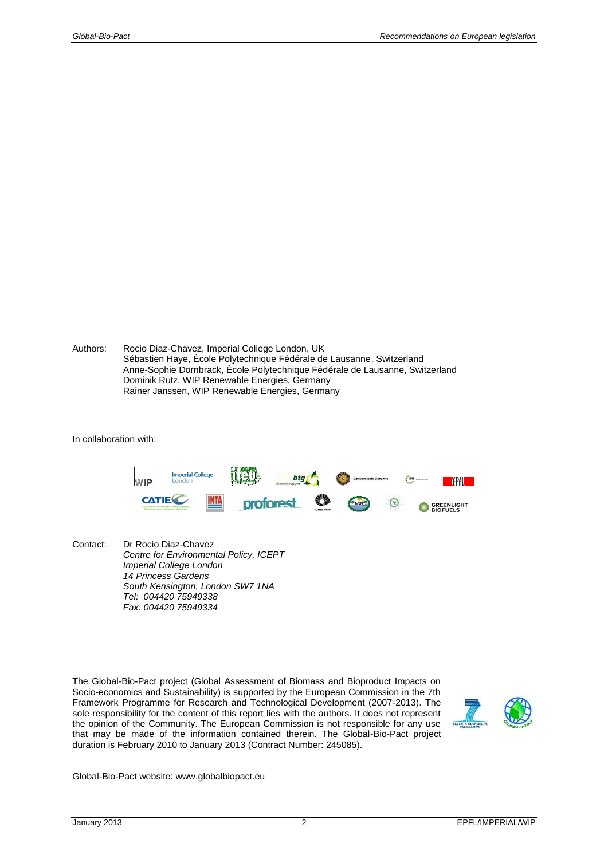Authors: Rocio Diaz-Chavez, Imperial College London, UK Sébastien Haye, École Polytechnique Fédérale de Lausanne, Switzerland Anne-Sophie Dörnbrack, École Polytechnique Fédérale de Lausanne, Switzerland Dominik Rutz, WIP Renewable Energies, Germany Rainer Janssen, WIP Renewable Energies, Germany

In collaboration with:



Contact: Dr Rocio Diaz-Chavez *Centre for Environmental Policy, ICEPT Imperial College London 14 Princess Gardens South Kensington, London SW7 1NA Tel: 004420 75949338 Fax: 004420 75949334*

The Global-Bio-Pact project (Global Assessment of Biomass and Bioproduct Impacts on Socio-economics and Sustainability) is supported by the European Commission in the 7th Framework Programme for Research and Technological Development (2007-2013). The sole responsibility for the content of this report lies with the authors. It does not represent the opinion of the Community. The European Commission is not responsible for any use that may be made of the information contained therein. The Global-Bio-Pact project duration is February 2010 to January 2013 (Contract Number: 245085).



Global-Bio-Pact website: www.globalbiopact.eu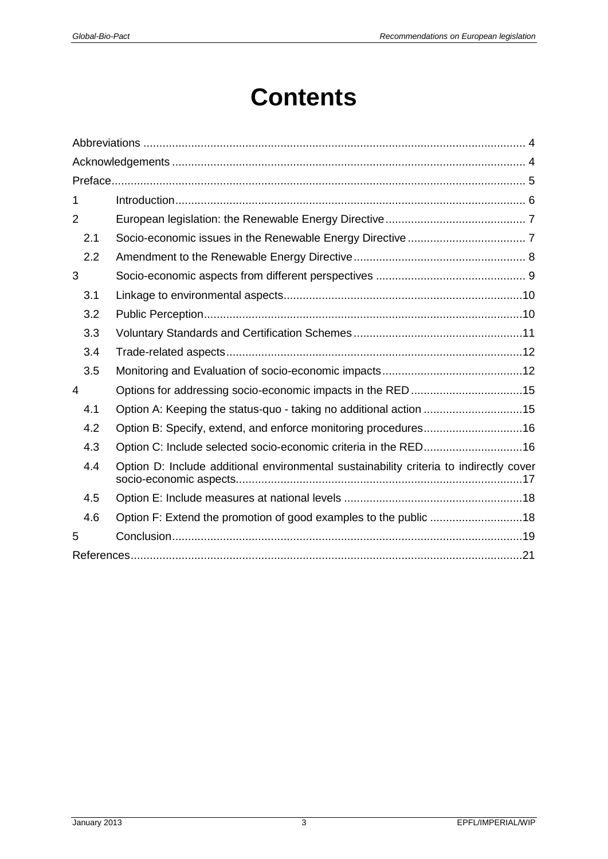# **Contents**

| 1              |                                                                                        |
|----------------|----------------------------------------------------------------------------------------|
| $\overline{2}$ |                                                                                        |
| 2.1            |                                                                                        |
| 2.2            |                                                                                        |
| 3              |                                                                                        |
| 3.1            |                                                                                        |
| 3.2            |                                                                                        |
| 3.3            |                                                                                        |
| 3.4            |                                                                                        |
| 3.5            |                                                                                        |
| 4              |                                                                                        |
| 4.1            | Option A: Keeping the status-quo - taking no additional action 15                      |
| 4.2            | Option B: Specify, extend, and enforce monitoring procedures16                         |
| 4.3            | Option C: Include selected socio-economic criteria in the RED16                        |
| 4.4            | Option D: Include additional environmental sustainability criteria to indirectly cover |
| 4.5            |                                                                                        |
| 4.6            | Option F: Extend the promotion of good examples to the public 18                       |
| 5              |                                                                                        |
|                |                                                                                        |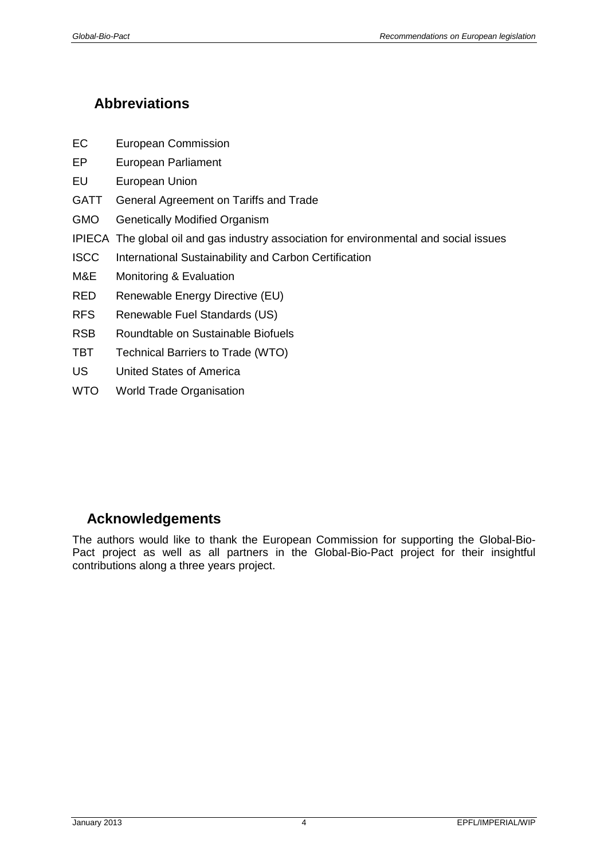# <span id="page-3-0"></span>**Abbreviations**

- EC European Commission
- EP European Parliament
- EU European Union
- GATT General Agreement on Tariffs and Trade
- GMO Genetically Modified Organism
- IPIECA The global oil and gas industry association for environmental and social issues
- ISCC International Sustainability and Carbon Certification
- M&E Monitoring & Evaluation
- RED Renewable Energy Directive (EU)
- RFS Renewable Fuel Standards (US)
- RSB Roundtable on Sustainable Biofuels
- TBT Technical Barriers to Trade (WTO)
- US United States of America
- WTO World Trade Organisation

# <span id="page-3-1"></span>**Acknowledgements**

The authors would like to thank the European Commission for supporting the Global-Bio-Pact project as well as all partners in the Global-Bio-Pact project for their insightful contributions along a three years project.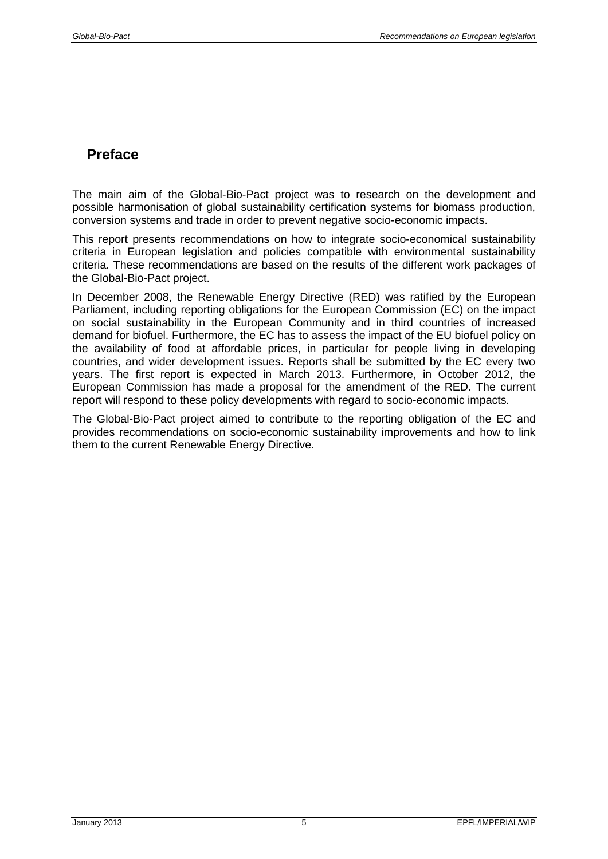## <span id="page-4-0"></span>**Preface**

The main aim of the Global-Bio-Pact project was to research on the development and possible harmonisation of global sustainability certification systems for biomass production, conversion systems and trade in order to prevent negative socio-economic impacts.

This report presents recommendations on how to integrate socio-economical sustainability criteria in European legislation and policies compatible with environmental sustainability criteria. These recommendations are based on the results of the different work packages of the Global-Bio-Pact project.

In December 2008, the Renewable Energy Directive (RED) was ratified by the European Parliament, including reporting obligations for the European Commission (EC) on the impact on social sustainability in the European Community and in third countries of increased demand for biofuel. Furthermore, the EC has to assess the impact of the EU biofuel policy on the availability of food at affordable prices, in particular for people living in developing countries, and wider development issues. Reports shall be submitted by the EC every two years. The first report is expected in March 2013. Furthermore, in October 2012, the European Commission has made a proposal for the amendment of the RED. The current report will respond to these policy developments with regard to socio-economic impacts.

The Global-Bio-Pact project aimed to contribute to the reporting obligation of the EC and provides recommendations on socio-economic sustainability improvements and how to link them to the current Renewable Energy Directive.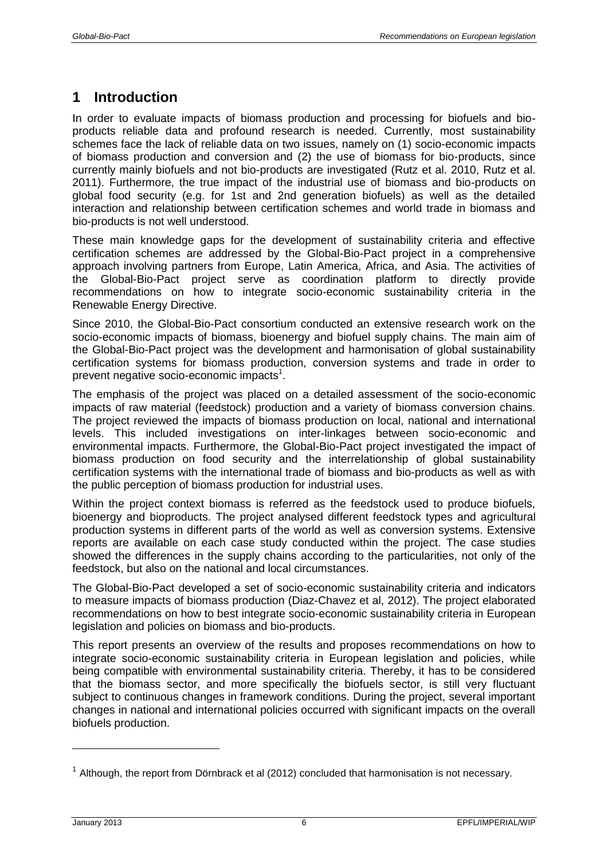# <span id="page-5-0"></span>**1 Introduction**

In order to evaluate impacts of biomass production and processing for biofuels and bioproducts reliable data and profound research is needed. Currently, most sustainability schemes face the lack of reliable data on two issues, namely on (1) socio-economic impacts of biomass production and conversion and (2) the use of biomass for bio-products, since currently mainly biofuels and not bio-products are investigated (Rutz et al. 2010, Rutz et al. 2011). Furthermore, the true impact of the industrial use of biomass and bio-products on global food security (e.g. for 1st and 2nd generation biofuels) as well as the detailed interaction and relationship between certification schemes and world trade in biomass and bio-products is not well understood.

These main knowledge gaps for the development of sustainability criteria and effective certification schemes are addressed by the Global-Bio-Pact project in a comprehensive approach involving partners from Europe, Latin America, Africa, and Asia. The activities of the Global-Bio-Pact project serve as coordination platform to directly provide recommendations on how to integrate socio-economic sustainability criteria in the Renewable Energy Directive.

Since 2010, the Global-Bio-Pact consortium conducted an extensive research work on the socio-economic impacts of biomass, bioenergy and biofuel supply chains. The main aim of the Global-Bio-Pact project was the development and harmonisation of global sustainability certification systems for biomass production, conversion systems and trade in order to prevent negative socio-economic impacts $^1$ .

The emphasis of the project was placed on a detailed assessment of the socio-economic impacts of raw material (feedstock) production and a variety of biomass conversion chains. The project reviewed the impacts of biomass production on local, national and international levels. This included investigations on inter-linkages between socio-economic and environmental impacts. Furthermore, the Global-Bio-Pact project investigated the impact of biomass production on food security and the interrelationship of global sustainability certification systems with the international trade of biomass and bio-products as well as with the public perception of biomass production for industrial uses.

Within the project context biomass is referred as the feedstock used to produce biofuels, bioenergy and bioproducts. The project analysed different feedstock types and agricultural production systems in different parts of the world as well as conversion systems. Extensive reports are available on each case study conducted within the project. The case studies showed the differences in the supply chains according to the particularities, not only of the feedstock, but also on the national and local circumstances.

The Global-Bio-Pact developed a set of socio-economic sustainability criteria and indicators to measure impacts of biomass production (Diaz-Chavez et al, 2012). The project elaborated recommendations on how to best integrate socio-economic sustainability criteria in European legislation and policies on biomass and bio-products.

This report presents an overview of the results and proposes recommendations on how to integrate socio-economic sustainability criteria in European legislation and policies, while being compatible with environmental sustainability criteria. Thereby, it has to be considered that the biomass sector, and more specifically the biofuels sector, is still very fluctuant subject to continuous changes in framework conditions. During the project, several important changes in national and international policies occurred with significant impacts on the overall biofuels production.

 $1$  Although, the report from Dörnbrack et al (2012) concluded that harmonisation is not necessary.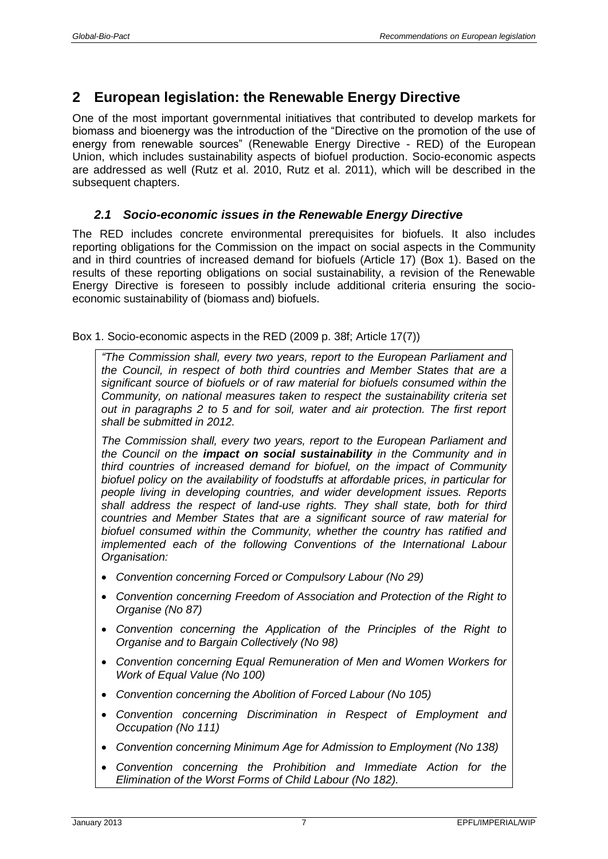# <span id="page-6-0"></span>**2 European legislation: the Renewable Energy Directive**

One of the most important governmental initiatives that contributed to develop markets for biomass and bioenergy was the introduction of the "Directive on the promotion of the use of energy from renewable sources" (Renewable Energy Directive - RED) of the European Union, which includes sustainability aspects of biofuel production. Socio-economic aspects are addressed as well (Rutz et al. 2010, Rutz et al. 2011), which will be described in the subsequent chapters.

## <span id="page-6-1"></span>*2.1 Socio-economic issues in the Renewable Energy Directive*

The RED includes concrete environmental prerequisites for biofuels. It also includes reporting obligations for the Commission on the impact on social aspects in the Community and in third countries of increased demand for biofuels (Article 17) (Box 1). Based on the results of these reporting obligations on social sustainability, a revision of the Renewable Energy Directive is foreseen to possibly include additional criteria ensuring the socioeconomic sustainability of (biomass and) biofuels.

Box 1. Socio-economic aspects in the RED (2009 p. 38f; Article 17(7))

*"The Commission shall, every two years, report to the European Parliament and the Council, in respect of both third countries and Member States that are a significant source of biofuels or of raw material for biofuels consumed within the Community, on national measures taken to respect the sustainability criteria set out in paragraphs 2 to 5 and for soil, water and air protection. The first report shall be submitted in 2012.*

*The Commission shall, every two years, report to the European Parliament and the Council on the impact on social sustainability in the Community and in third countries of increased demand for biofuel, on the impact of Community biofuel policy on the availability of foodstuffs at affordable prices, in particular for people living in developing countries, and wider development issues. Reports shall address the respect of land-use rights. They shall state, both for third countries and Member States that are a significant source of raw material for biofuel consumed within the Community, whether the country has ratified and implemented each of the following Conventions of the International Labour Organisation:*

- *Convention concerning Forced or Compulsory Labour (No 29)*
- *Convention concerning Freedom of Association and Protection of the Right to Organise (No 87)*
- *Convention concerning the Application of the Principles of the Right to Organise and to Bargain Collectively (No 98)*
- *Convention concerning Equal Remuneration of Men and Women Workers for Work of Equal Value (No 100)*
- *Convention concerning the Abolition of Forced Labour (No 105)*
- *Convention concerning Discrimination in Respect of Employment and Occupation (No 111)*
- *Convention concerning Minimum Age for Admission to Employment (No 138)*
- *Convention concerning the Prohibition and Immediate Action for the Elimination of the Worst Forms of Child Labour (No 182).*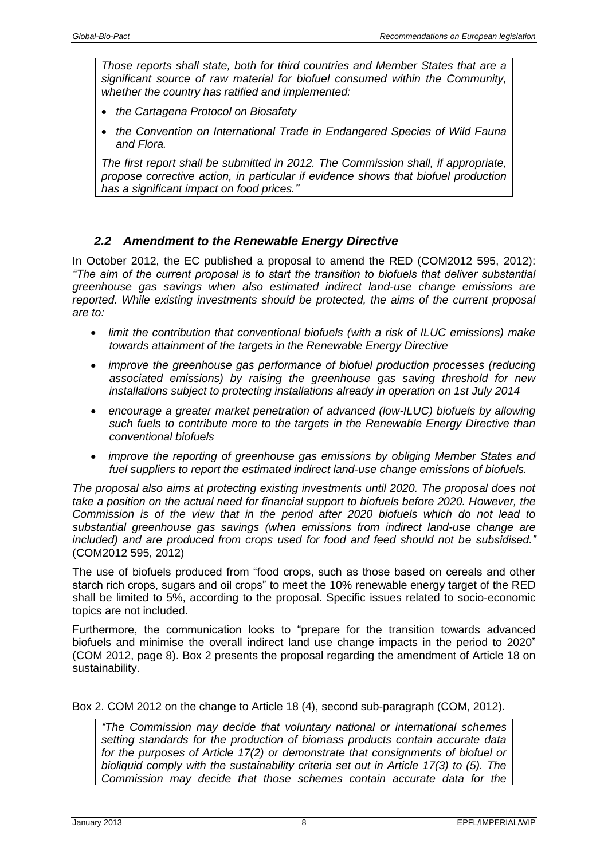*Those reports shall state, both for third countries and Member States that are a significant source of raw material for biofuel consumed within the Community, whether the country has ratified and implemented:*

- *the Cartagena Protocol on Biosafety*
- *the Convention on International Trade in Endangered Species of Wild Fauna and Flora.*

*The first report shall be submitted in 2012. The Commission shall, if appropriate, propose corrective action, in particular if evidence shows that biofuel production has a significant impact on food prices."*

#### <span id="page-7-0"></span>*2.2 Amendment to the Renewable Energy Directive*

In October 2012, the EC published a proposal to amend the RED (COM2012 595, 2012): *"The aim of the current proposal is to start the transition to biofuels that deliver substantial greenhouse gas savings when also estimated indirect land-use change emissions are reported. While existing investments should be protected, the aims of the current proposal are to:*

- *limit the contribution that conventional biofuels (with a risk of ILUC emissions) make towards attainment of the targets in the Renewable Energy Directive*
- *improve the greenhouse gas performance of biofuel production processes (reducing associated emissions) by raising the greenhouse gas saving threshold for new installations subject to protecting installations already in operation on 1st July 2014*
- *encourage a greater market penetration of advanced (low-ILUC) biofuels by allowing such fuels to contribute more to the targets in the Renewable Energy Directive than conventional biofuels*
- *improve the reporting of greenhouse gas emissions by obliging Member States and fuel suppliers to report the estimated indirect land-use change emissions of biofuels.*

*The proposal also aims at protecting existing investments until 2020. The proposal does not take a position on the actual need for financial support to biofuels before 2020. However, the Commission is of the view that in the period after 2020 biofuels which do not lead to substantial greenhouse gas savings (when emissions from indirect land-use change are included) and are produced from crops used for food and feed should not be subsidised."* (COM2012 595, 2012)

The use of biofuels produced from "food crops, such as those based on cereals and other starch rich crops, sugars and oil crops" to meet the 10% renewable energy target of the RED shall be limited to 5%, according to the proposal. Specific issues related to socio-economic topics are not included.

Furthermore, the communication looks to "prepare for the transition towards advanced biofuels and minimise the overall indirect land use change impacts in the period to 2020" (COM 2012, page 8). Box 2 presents the proposal regarding the amendment of Article 18 on sustainability.

Box 2. COM 2012 on the change to Article 18 (4), second sub-paragraph (COM, 2012).

*"The Commission may decide that voluntary national or international schemes setting standards for the production of biomass products contain accurate data for the purposes of Article 17(2) or demonstrate that consignments of biofuel or bioliquid comply with the sustainability criteria set out in Article 17(3) to (5). The Commission may decide that those schemes contain accurate data for the*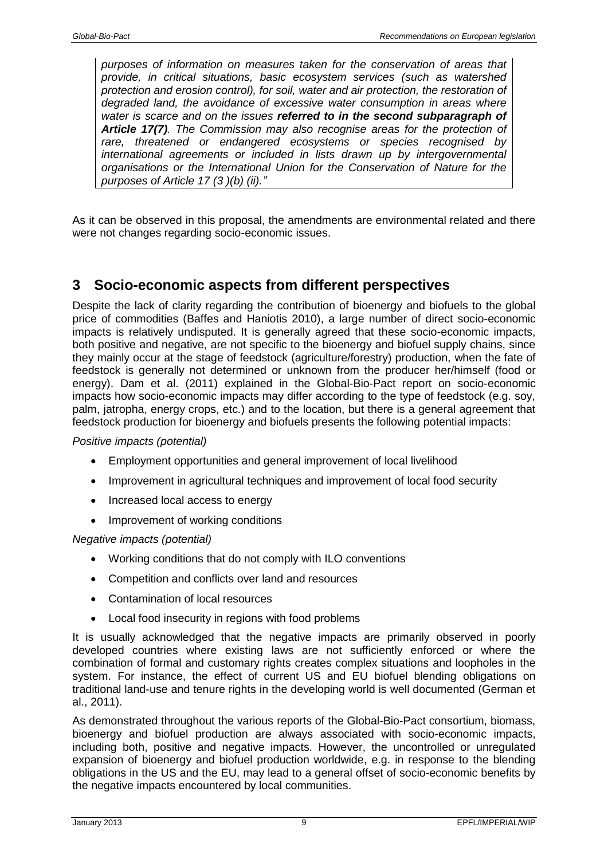*purposes of information on measures taken for the conservation of areas that provide, in critical situations, basic ecosystem services (such as watershed protection and erosion control), for soil, water and air protection, the restoration of degraded land, the avoidance of excessive water consumption in areas where water is scarce and on the issues referred to in the second subparagraph of Article 17(7). The Commission may also recognise areas for the protection of rare, threatened or endangered ecosystems or species recognised by international agreements or included in lists drawn up by intergovernmental organisations or the International Union for the Conservation of Nature for the purposes of Article 17 (3 )(b) (ii)."*

As it can be observed in this proposal, the amendments are environmental related and there were not changes regarding socio-economic issues.

## <span id="page-8-0"></span>**3 Socio-economic aspects from different perspectives**

Despite the lack of clarity regarding the contribution of bioenergy and biofuels to the global price of commodities (Baffes and Haniotis 2010), a large number of direct socio-economic impacts is relatively undisputed. It is generally agreed that these socio-economic impacts, both positive and negative, are not specific to the bioenergy and biofuel supply chains, since they mainly occur at the stage of feedstock (agriculture/forestry) production, when the fate of feedstock is generally not determined or unknown from the producer her/himself (food or energy). Dam et al. (2011) explained in the Global-Bio-Pact report on socio-economic impacts how socio-economic impacts may differ according to the type of feedstock (e.g. soy, palm, jatropha, energy crops, etc.) and to the location, but there is a general agreement that feedstock production for bioenergy and biofuels presents the following potential impacts:

#### *Positive impacts (potential)*

- Employment opportunities and general improvement of local livelihood
- Improvement in agricultural techniques and improvement of local food security
- Increased local access to energy
- Improvement of working conditions

#### *Negative impacts (potential)*

- Working conditions that do not comply with ILO conventions
- Competition and conflicts over land and resources
- Contamination of local resources
- Local food insecurity in regions with food problems

It is usually acknowledged that the negative impacts are primarily observed in poorly developed countries where existing laws are not sufficiently enforced or where the combination of formal and customary rights creates complex situations and loopholes in the system. For instance, the effect of current US and EU biofuel blending obligations on traditional land-use and tenure rights in the developing world is well documented (German et al., 2011).

As demonstrated throughout the various reports of the Global-Bio-Pact consortium, biomass, bioenergy and biofuel production are always associated with socio-economic impacts, including both, positive and negative impacts. However, the uncontrolled or unregulated expansion of bioenergy and biofuel production worldwide, e.g. in response to the blending obligations in the US and the EU, may lead to a general offset of socio-economic benefits by the negative impacts encountered by local communities.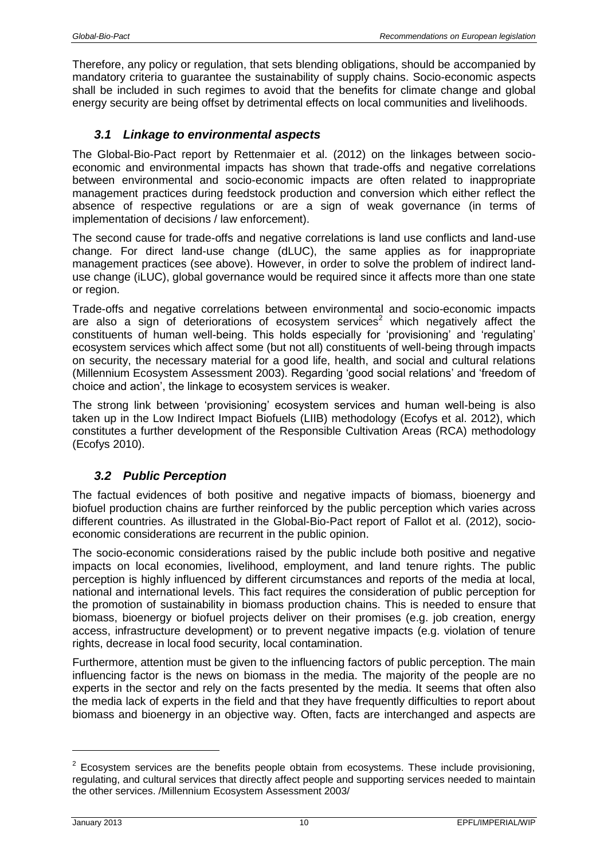Therefore, any policy or regulation, that sets blending obligations, should be accompanied by mandatory criteria to guarantee the sustainability of supply chains. Socio-economic aspects shall be included in such regimes to avoid that the benefits for climate change and global energy security are being offset by detrimental effects on local communities and livelihoods.

## <span id="page-9-0"></span>*3.1 Linkage to environmental aspects*

The Global-Bio-Pact report by Rettenmaier et al. (2012) on the linkages between socioeconomic and environmental impacts has shown that trade-offs and negative correlations between environmental and socio-economic impacts are often related to inappropriate management practices during feedstock production and conversion which either reflect the absence of respective regulations or are a sign of weak governance (in terms of implementation of decisions / law enforcement).

The second cause for trade-offs and negative correlations is land use conflicts and land-use change. For direct land-use change (dLUC), the same applies as for inappropriate management practices (see above). However, in order to solve the problem of indirect landuse change (iLUC), global governance would be required since it affects more than one state or region.

Trade-offs and negative correlations between environmental and socio-economic impacts are also a sign of deteriorations of ecosystem services<sup>2</sup> which negatively affect the constituents of human well-being. This holds especially for 'provisioning' and 'regulating' ecosystem services which affect some (but not all) constituents of well-being through impacts on security, the necessary material for a good life, health, and social and cultural relations (Millennium Ecosystem Assessment 2003). Regarding 'good social relations' and 'freedom of choice and action', the linkage to ecosystem services is weaker.

The strong link between 'provisioning' ecosystem services and human well-being is also taken up in the Low Indirect Impact Biofuels (LIIB) methodology (Ecofys et al. 2012), which constitutes a further development of the Responsible Cultivation Areas (RCA) methodology (Ecofys 2010).

## <span id="page-9-1"></span>*3.2 Public Perception*

The factual evidences of both positive and negative impacts of biomass, bioenergy and biofuel production chains are further reinforced by the public perception which varies across different countries. As illustrated in the Global-Bio-Pact report of Fallot et al. (2012), socioeconomic considerations are recurrent in the public opinion.

The socio-economic considerations raised by the public include both positive and negative impacts on local economies, livelihood, employment, and land tenure rights. The public perception is highly influenced by different circumstances and reports of the media at local, national and international levels. This fact requires the consideration of public perception for the promotion of sustainability in biomass production chains. This is needed to ensure that biomass, bioenergy or biofuel projects deliver on their promises (e.g. job creation, energy access, infrastructure development) or to prevent negative impacts (e.g. violation of tenure rights, decrease in local food security, local contamination.

Furthermore, attention must be given to the influencing factors of public perception. The main influencing factor is the news on biomass in the media. The majority of the people are no experts in the sector and rely on the facts presented by the media. It seems that often also the media lack of experts in the field and that they have frequently difficulties to report about biomass and bioenergy in an objective way. Often, facts are interchanged and aspects are

 $2$  Ecosystem services are the benefits people obtain from ecosystems. These include provisioning, regulating, and cultural services that directly affect people and supporting services needed to maintain the other services. /Millennium Ecosystem Assessment 2003/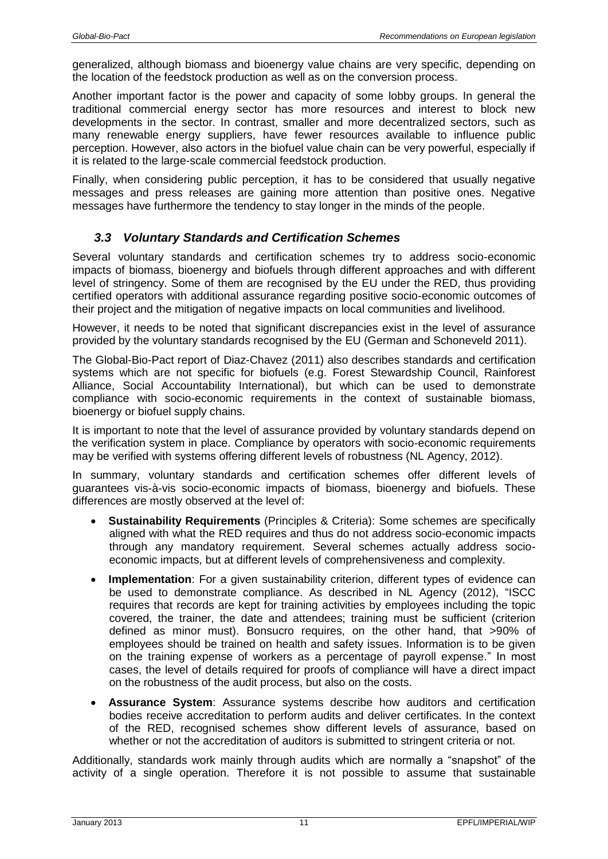generalized, although biomass and bioenergy value chains are very specific, depending on the location of the feedstock production as well as on the conversion process.

Another important factor is the power and capacity of some lobby groups. In general the traditional commercial energy sector has more resources and interest to block new developments in the sector. In contrast, smaller and more decentralized sectors, such as many renewable energy suppliers, have fewer resources available to influence public perception. However, also actors in the biofuel value chain can be very powerful, especially if it is related to the large-scale commercial feedstock production.

Finally, when considering public perception, it has to be considered that usually negative messages and press releases are gaining more attention than positive ones. Negative messages have furthermore the tendency to stay longer in the minds of the people.

#### <span id="page-10-0"></span>*3.3 Voluntary Standards and Certification Schemes*

Several voluntary standards and certification schemes try to address socio-economic impacts of biomass, bioenergy and biofuels through different approaches and with different level of stringency. Some of them are recognised by the EU under the RED, thus providing certified operators with additional assurance regarding positive socio-economic outcomes of their project and the mitigation of negative impacts on local communities and livelihood.

However, it needs to be noted that significant discrepancies exist in the level of assurance provided by the voluntary standards recognised by the EU (German and Schoneveld 2011).

The Global-Bio-Pact report of Diaz-Chavez (2011) also describes standards and certification systems which are not specific for biofuels (e.g. Forest Stewardship Council, Rainforest Alliance, Social Accountability International), but which can be used to demonstrate compliance with socio-economic requirements in the context of sustainable biomass, bioenergy or biofuel supply chains.

It is important to note that the level of assurance provided by voluntary standards depend on the verification system in place. Compliance by operators with socio-economic requirements may be verified with systems offering different levels of robustness (NL Agency, 2012).

In summary, voluntary standards and certification schemes offer different levels of guarantees vis-à-vis socio-economic impacts of biomass, bioenergy and biofuels. These differences are mostly observed at the level of:

- **Sustainability Requirements** (Principles & Criteria): Some schemes are specifically aligned with what the RED requires and thus do not address socio-economic impacts through any mandatory requirement. Several schemes actually address socioeconomic impacts, but at different levels of comprehensiveness and complexity.
- **Implementation**: For a given sustainability criterion, different types of evidence can be used to demonstrate compliance. As described in NL Agency (2012), "ISCC requires that records are kept for training activities by employees including the topic covered, the trainer, the date and attendees; training must be sufficient (criterion defined as minor must). Bonsucro requires, on the other hand, that >90% of employees should be trained on health and safety issues. Information is to be given on the training expense of workers as a percentage of payroll expense." In most cases, the level of details required for proofs of compliance will have a direct impact on the robustness of the audit process, but also on the costs.
- **Assurance System**: Assurance systems describe how auditors and certification bodies receive accreditation to perform audits and deliver certificates. In the context of the RED, recognised schemes show different levels of assurance, based on whether or not the accreditation of auditors is submitted to stringent criteria or not.

Additionally, standards work mainly through audits which are normally a "snapshot" of the activity of a single operation. Therefore it is not possible to assume that sustainable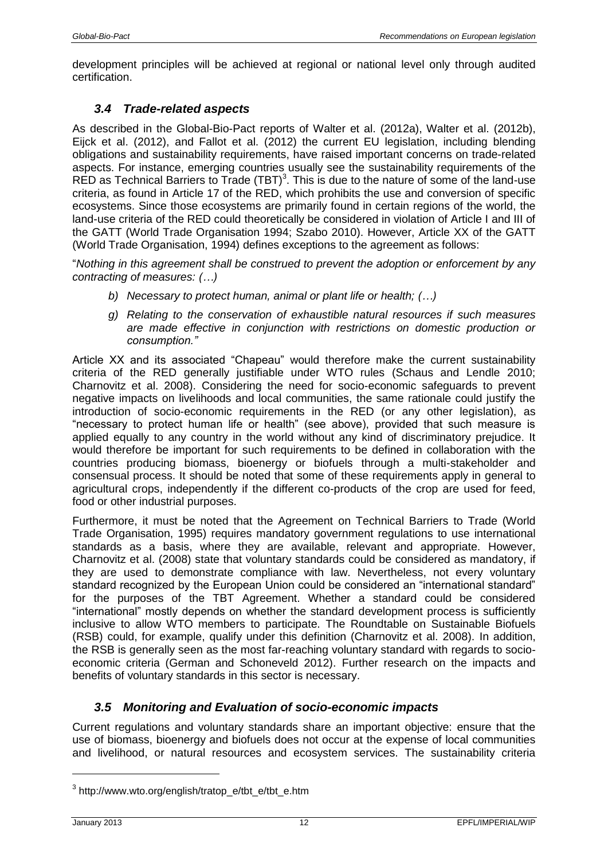development principles will be achieved at regional or national level only through audited certification.

## <span id="page-11-0"></span>*3.4 Trade-related aspects*

As described in the Global-Bio-Pact reports of Walter et al. (2012a), Walter et al. (2012b), Eijck et al. (2012), and Fallot et al. (2012) the current EU legislation, including blending obligations and sustainability requirements, have raised important concerns on trade-related aspects. For instance, emerging countries usually see the sustainability requirements of the RED as Technical Barriers to Trade  $(TBT)^3$ . This is due to the nature of some of the land-use criteria, as found in Article 17 of the RED, which prohibits the use and conversion of specific ecosystems. Since those ecosystems are primarily found in certain regions of the world, the land-use criteria of the RED could theoretically be considered in violation of Article I and III of the GATT (World Trade Organisation 1994; Szabo 2010). However, Article XX of the GATT (World Trade Organisation, 1994) defines exceptions to the agreement as follows:

"*Nothing in this agreement shall be construed to prevent the adoption or enforcement by any contracting of measures: (…)*

- *b) Necessary to protect human, animal or plant life or health; (…)*
- *g) Relating to the conservation of exhaustible natural resources if such measures are made effective in conjunction with restrictions on domestic production or consumption."*

Article XX and its associated "Chapeau" would therefore make the current sustainability criteria of the RED generally justifiable under WTO rules (Schaus and Lendle 2010; Charnovitz et al. 2008). Considering the need for socio-economic safeguards to prevent negative impacts on livelihoods and local communities, the same rationale could justify the introduction of socio-economic requirements in the RED (or any other legislation), as "necessary to protect human life or health" (see above), provided that such measure is applied equally to any country in the world without any kind of discriminatory prejudice. It would therefore be important for such requirements to be defined in collaboration with the countries producing biomass, bioenergy or biofuels through a multi-stakeholder and consensual process. It should be noted that some of these requirements apply in general to agricultural crops, independently if the different co-products of the crop are used for feed, food or other industrial purposes.

Furthermore, it must be noted that the Agreement on Technical Barriers to Trade (World Trade Organisation, 1995) requires mandatory government regulations to use international standards as a basis, where they are available, relevant and appropriate. However, Charnovitz et al. (2008) state that voluntary standards could be considered as mandatory, if they are used to demonstrate compliance with law. Nevertheless, not every voluntary standard recognized by the European Union could be considered an "international standard" for the purposes of the TBT Agreement. Whether a standard could be considered "international" mostly depends on whether the standard development process is sufficiently inclusive to allow WTO members to participate. The Roundtable on Sustainable Biofuels (RSB) could, for example, qualify under this definition (Charnovitz et al. 2008). In addition, the RSB is generally seen as the most far-reaching voluntary standard with regards to socioeconomic criteria (German and Schoneveld 2012). Further research on the impacts and benefits of voluntary standards in this sector is necessary.

## <span id="page-11-1"></span>*3.5 Monitoring and Evaluation of socio-economic impacts*

Current regulations and voluntary standards share an important objective: ensure that the use of biomass, bioenergy and biofuels does not occur at the expense of local communities and livelihood, or natural resources and ecosystem services. The sustainability criteria

 $\overline{a}$ 

<sup>3</sup> http://www.wto.org/english/tratop\_e/tbt\_e/tbt\_e.htm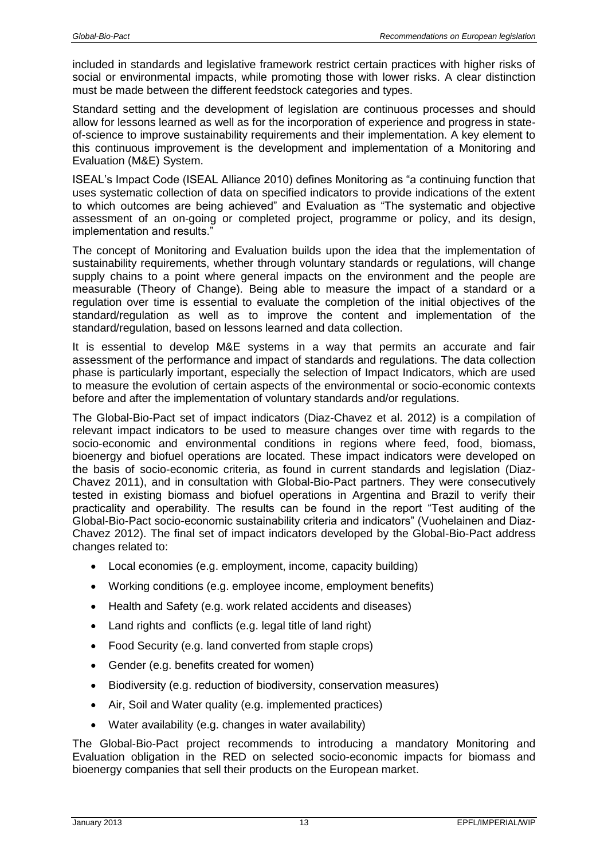included in standards and legislative framework restrict certain practices with higher risks of social or environmental impacts, while promoting those with lower risks. A clear distinction must be made between the different feedstock categories and types.

Standard setting and the development of legislation are continuous processes and should allow for lessons learned as well as for the incorporation of experience and progress in stateof-science to improve sustainability requirements and their implementation. A key element to this continuous improvement is the development and implementation of a Monitoring and Evaluation (M&E) System.

ISEAL's Impact Code (ISEAL Alliance 2010) defines Monitoring as "a continuing function that uses systematic collection of data on specified indicators to provide indications of the extent to which outcomes are being achieved" and Evaluation as "The systematic and objective assessment of an on-going or completed project, programme or policy, and its design, implementation and results."

The concept of Monitoring and Evaluation builds upon the idea that the implementation of sustainability requirements, whether through voluntary standards or regulations, will change supply chains to a point where general impacts on the environment and the people are measurable (Theory of Change). Being able to measure the impact of a standard or a regulation over time is essential to evaluate the completion of the initial objectives of the standard/regulation as well as to improve the content and implementation of the standard/regulation, based on lessons learned and data collection.

It is essential to develop M&E systems in a way that permits an accurate and fair assessment of the performance and impact of standards and regulations. The data collection phase is particularly important, especially the selection of Impact Indicators, which are used to measure the evolution of certain aspects of the environmental or socio-economic contexts before and after the implementation of voluntary standards and/or regulations.

The Global-Bio-Pact set of impact indicators (Diaz-Chavez et al. 2012) is a compilation of relevant impact indicators to be used to measure changes over time with regards to the socio-economic and environmental conditions in regions where feed, food, biomass, bioenergy and biofuel operations are located. These impact indicators were developed on the basis of socio-economic criteria, as found in current standards and legislation (Diaz-Chavez 2011), and in consultation with Global-Bio-Pact partners. They were consecutively tested in existing biomass and biofuel operations in Argentina and Brazil to verify their practicality and operability. The results can be found in the report "Test auditing of the Global-Bio-Pact socio-economic sustainability criteria and indicators" (Vuohelainen and Diaz-Chavez 2012). The final set of impact indicators developed by the Global-Bio-Pact address changes related to:

- Local economies (e.g. employment, income, capacity building)
- Working conditions (e.g. employee income, employment benefits)
- Health and Safety (e.g. work related accidents and diseases)
- Land rights and conflicts (e.g. legal title of land right)
- Food Security (e.g. land converted from staple crops)
- Gender (e.g. benefits created for women)
- Biodiversity (e.g. reduction of biodiversity, conservation measures)
- Air, Soil and Water quality (e.g. implemented practices)
- Water availability (e.g. changes in water availability)

The Global-Bio-Pact project recommends to introducing a mandatory Monitoring and Evaluation obligation in the RED on selected socio-economic impacts for biomass and bioenergy companies that sell their products on the European market.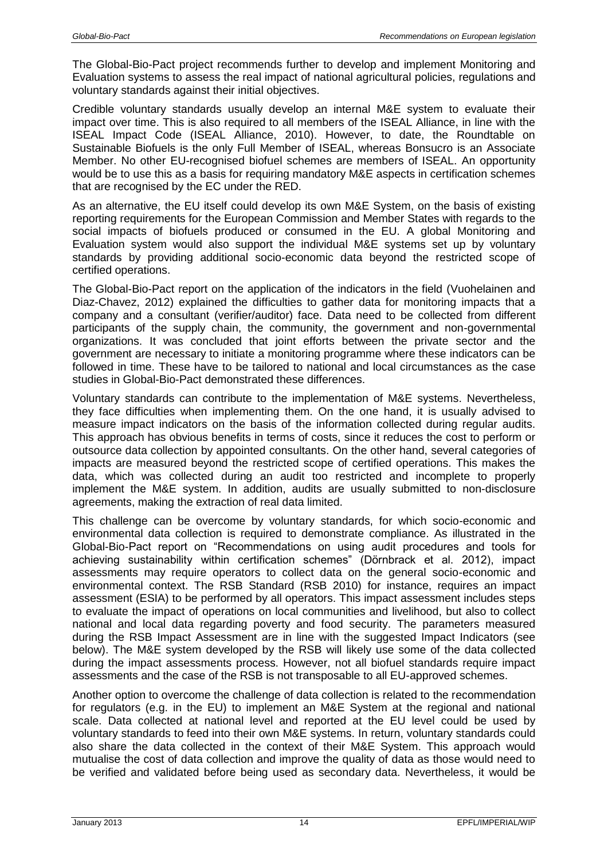The Global-Bio-Pact project recommends further to develop and implement Monitoring and Evaluation systems to assess the real impact of national agricultural policies, regulations and voluntary standards against their initial objectives.

Credible voluntary standards usually develop an internal M&E system to evaluate their impact over time. This is also required to all members of the ISEAL Alliance, in line with the ISEAL Impact Code (ISEAL Alliance, 2010). However, to date, the Roundtable on Sustainable Biofuels is the only Full Member of ISEAL, whereas Bonsucro is an Associate Member. No other EU-recognised biofuel schemes are members of ISEAL. An opportunity would be to use this as a basis for requiring mandatory M&E aspects in certification schemes that are recognised by the EC under the RED.

As an alternative, the EU itself could develop its own M&E System, on the basis of existing reporting requirements for the European Commission and Member States with regards to the social impacts of biofuels produced or consumed in the EU. A global Monitoring and Evaluation system would also support the individual M&E systems set up by voluntary standards by providing additional socio-economic data beyond the restricted scope of certified operations.

The Global-Bio-Pact report on the application of the indicators in the field (Vuohelainen and Diaz-Chavez, 2012) explained the difficulties to gather data for monitoring impacts that a company and a consultant (verifier/auditor) face. Data need to be collected from different participants of the supply chain, the community, the government and non-governmental organizations. It was concluded that joint efforts between the private sector and the government are necessary to initiate a monitoring programme where these indicators can be followed in time. These have to be tailored to national and local circumstances as the case studies in Global-Bio-Pact demonstrated these differences.

Voluntary standards can contribute to the implementation of M&E systems. Nevertheless, they face difficulties when implementing them. On the one hand, it is usually advised to measure impact indicators on the basis of the information collected during regular audits. This approach has obvious benefits in terms of costs, since it reduces the cost to perform or outsource data collection by appointed consultants. On the other hand, several categories of impacts are measured beyond the restricted scope of certified operations. This makes the data, which was collected during an audit too restricted and incomplete to properly implement the M&E system. In addition, audits are usually submitted to non-disclosure agreements, making the extraction of real data limited.

This challenge can be overcome by voluntary standards, for which socio-economic and environmental data collection is required to demonstrate compliance. As illustrated in the Global-Bio-Pact report on "Recommendations on using audit procedures and tools for achieving sustainability within certification schemes" (Dörnbrack et al. 2012), impact assessments may require operators to collect data on the general socio-economic and environmental context. The RSB Standard (RSB 2010) for instance, requires an impact assessment (ESIA) to be performed by all operators. This impact assessment includes steps to evaluate the impact of operations on local communities and livelihood, but also to collect national and local data regarding poverty and food security. The parameters measured during the RSB Impact Assessment are in line with the suggested Impact Indicators (see below). The M&E system developed by the RSB will likely use some of the data collected during the impact assessments process. However, not all biofuel standards require impact assessments and the case of the RSB is not transposable to all EU-approved schemes.

Another option to overcome the challenge of data collection is related to the recommendation for regulators (e.g. in the EU) to implement an M&E System at the regional and national scale. Data collected at national level and reported at the EU level could be used by voluntary standards to feed into their own M&E systems. In return, voluntary standards could also share the data collected in the context of their M&E System. This approach would mutualise the cost of data collection and improve the quality of data as those would need to be verified and validated before being used as secondary data. Nevertheless, it would be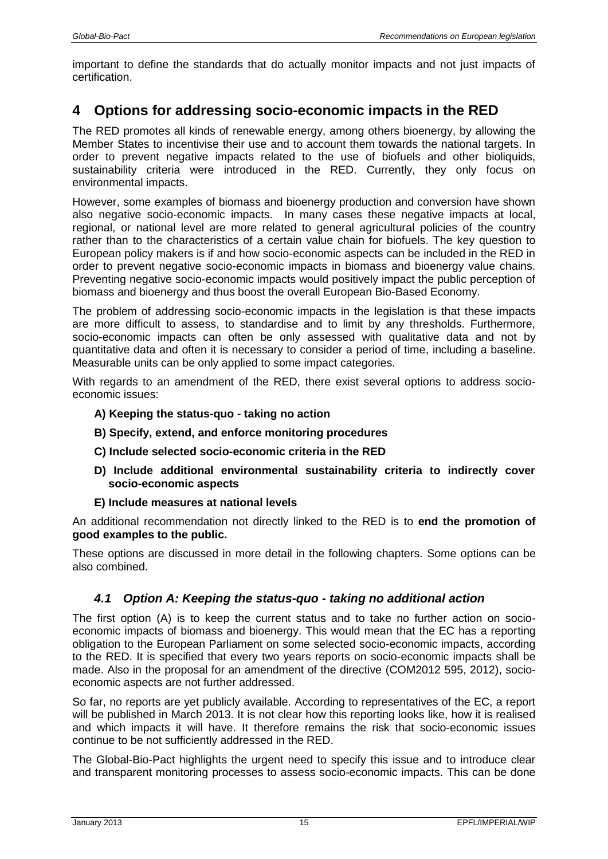important to define the standards that do actually monitor impacts and not just impacts of certification.

# <span id="page-14-0"></span>**4 Options for addressing socio-economic impacts in the RED**

The RED promotes all kinds of renewable energy, among others bioenergy, by allowing the Member States to incentivise their use and to account them towards the national targets. In order to prevent negative impacts related to the use of biofuels and other bioliquids, sustainability criteria were introduced in the RED. Currently, they only focus on environmental impacts.

However, some examples of biomass and bioenergy production and conversion have shown also negative socio-economic impacts. In many cases these negative impacts at local, regional, or national level are more related to general agricultural policies of the country rather than to the characteristics of a certain value chain for biofuels. The key question to European policy makers is if and how socio-economic aspects can be included in the RED in order to prevent negative socio-economic impacts in biomass and bioenergy value chains. Preventing negative socio-economic impacts would positively impact the public perception of biomass and bioenergy and thus boost the overall European Bio-Based Economy.

The problem of addressing socio-economic impacts in the legislation is that these impacts are more difficult to assess, to standardise and to limit by any thresholds. Furthermore, socio-economic impacts can often be only assessed with qualitative data and not by quantitative data and often it is necessary to consider a period of time, including a baseline. Measurable units can be only applied to some impact categories.

With regards to an amendment of the RED, there exist several options to address socioeconomic issues:

- **A) Keeping the status-quo - taking no action**
- **B) Specify, extend, and enforce monitoring procedures**
- **C) Include selected socio-economic criteria in the RED**
- **D) Include additional environmental sustainability criteria to indirectly cover socio-economic aspects**
- **E) Include measures at national levels**

An additional recommendation not directly linked to the RED is to **end the promotion of good examples to the public.**

These options are discussed in more detail in the following chapters. Some options can be also combined.

## <span id="page-14-1"></span>*4.1 Option A: Keeping the status-quo - taking no additional action*

The first option (A) is to keep the current status and to take no further action on socioeconomic impacts of biomass and bioenergy. This would mean that the EC has a reporting obligation to the European Parliament on some selected socio-economic impacts, according to the RED. It is specified that every two years reports on socio-economic impacts shall be made. Also in the proposal for an amendment of the directive (COM2012 595, 2012), socioeconomic aspects are not further addressed.

So far, no reports are yet publicly available. According to representatives of the EC, a report will be published in March 2013. It is not clear how this reporting looks like, how it is realised and which impacts it will have. It therefore remains the risk that socio-economic issues continue to be not sufficiently addressed in the RED.

The Global-Bio-Pact highlights the urgent need to specify this issue and to introduce clear and transparent monitoring processes to assess socio-economic impacts. This can be done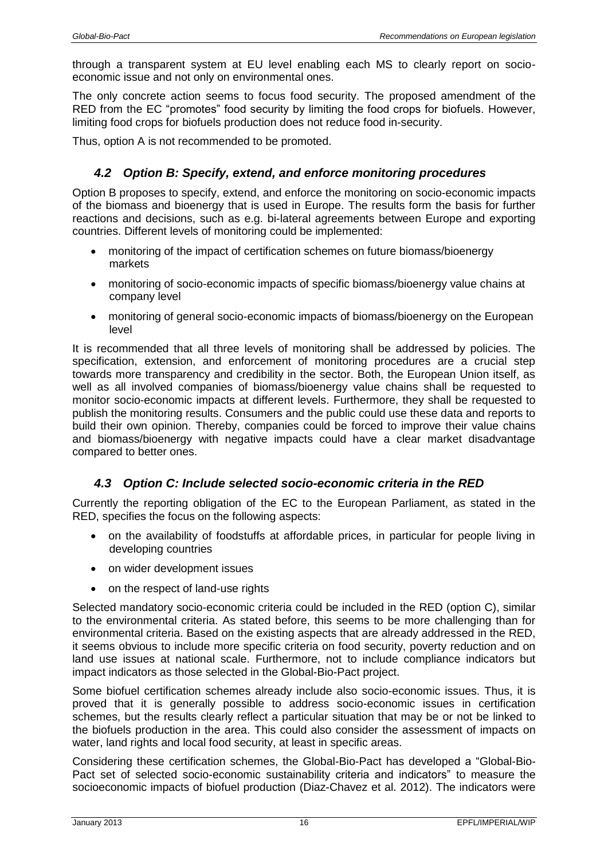through a transparent system at EU level enabling each MS to clearly report on socioeconomic issue and not only on environmental ones.

The only concrete action seems to focus food security. The proposed amendment of the RED from the EC "promotes" food security by limiting the food crops for biofuels. However, limiting food crops for biofuels production does not reduce food in-security.

<span id="page-15-0"></span>Thus, option A is not recommended to be promoted.

### *4.2 Option B: Specify, extend, and enforce monitoring procedures*

Option B proposes to specify, extend, and enforce the monitoring on socio-economic impacts of the biomass and bioenergy that is used in Europe. The results form the basis for further reactions and decisions, such as e.g. bi-lateral agreements between Europe and exporting countries. Different levels of monitoring could be implemented:

- monitoring of the impact of certification schemes on future biomass/bioenergy markets
- monitoring of socio-economic impacts of specific biomass/bioenergy value chains at company level
- monitoring of general socio-economic impacts of biomass/bioenergy on the European level

It is recommended that all three levels of monitoring shall be addressed by policies. The specification, extension, and enforcement of monitoring procedures are a crucial step towards more transparency and credibility in the sector. Both, the European Union itself, as well as all involved companies of biomass/bioenergy value chains shall be requested to monitor socio-economic impacts at different levels. Furthermore, they shall be requested to publish the monitoring results. Consumers and the public could use these data and reports to build their own opinion. Thereby, companies could be forced to improve their value chains and biomass/bioenergy with negative impacts could have a clear market disadvantage compared to better ones.

#### <span id="page-15-2"></span><span id="page-15-1"></span>*4.3 Option C: Include selected socio-economic criteria in the RED*

Currently the reporting obligation of the EC to the European Parliament, as stated in the RED, specifies the focus on the following aspects:

- on the availability of foodstuffs at affordable prices, in particular for people living in developing countries
- on wider development issues
- on the respect of land-use rights

Selected mandatory socio-economic criteria could be included in the RED (option C), similar to the environmental criteria. As stated before, this seems to be more challenging than for environmental criteria. Based on the existing aspects that are already addressed in the RED, it seems obvious to include more specific criteria on food security, poverty reduction and on land use issues at national scale. Furthermore, not to include compliance indicators but impact indicators as those selected in the Global-Bio-Pact project.

Some biofuel certification schemes already include also socio-economic issues. Thus, it is proved that it is generally possible to address socio-economic issues in certification schemes, but the results clearly reflect a particular situation that may be or not be linked to the biofuels production in the area. This could also consider the assessment of impacts on water, land rights and local food security, at least in specific areas.

Considering these certification schemes, the Global-Bio-Pact has developed a "Global-Bio-Pact set of selected socio-economic sustainability criteria and indicators" to measure the socioeconomic impacts of biofuel production (Diaz-Chavez et al. 2012). The indicators were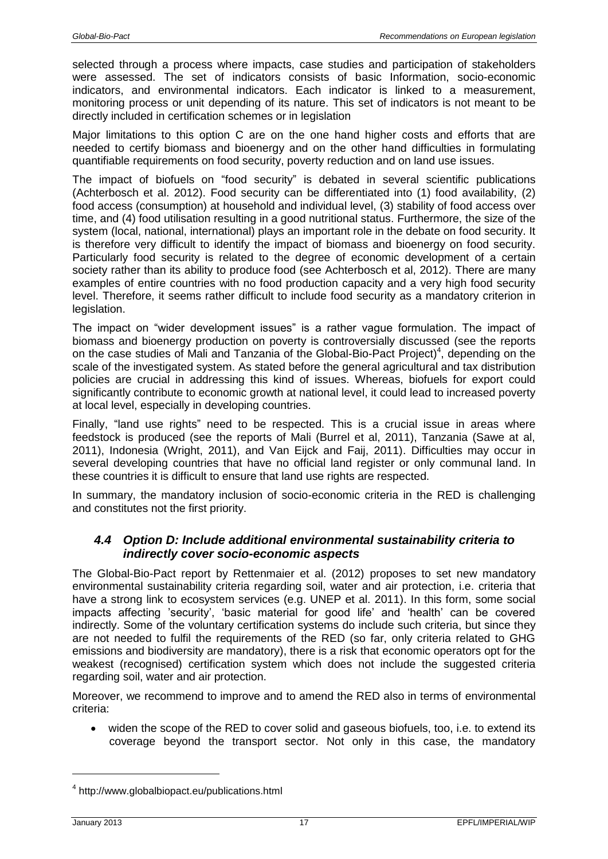selected through a process where impacts, case studies and participation of stakeholders were assessed. The set of indicators consists of basic Information, socio-economic indicators, and environmental indicators. Each indicator is linked to a measurement, monitoring process or unit depending of its nature. This set of indicators is not meant to be directly included in certification schemes or in legislation

Major limitations to this option C are on the one hand higher costs and efforts that are needed to certify biomass and bioenergy and on the other hand difficulties in formulating quantifiable requirements on food security, poverty reduction and on land use issues.

The impact of biofuels on "food security" is debated in several scientific publications (Achterbosch et al. 2012). Food security can be differentiated into (1) food availability, (2) food access (consumption) at household and individual level, (3) stability of food access over time, and (4) food utilisation resulting in a good nutritional status. Furthermore, the size of the system (local, national, international) plays an important role in the debate on food security. It is therefore very difficult to identify the impact of biomass and bioenergy on food security. Particularly food security is related to the degree of economic development of a certain society rather than its ability to produce food (see Achterbosch et al, 2012). There are many examples of entire countries with no food production capacity and a very high food security level. Therefore, it seems rather difficult to include food security as a mandatory criterion in legislation.

The impact on "wider development issues" is a rather vague formulation. The impact of biomass and bioenergy production on poverty is controversially discussed (see the reports on the case studies of Mali and Tanzania of the Global-Bio-Pact Project)<sup>4</sup>, depending on the scale of the investigated system. As stated before the general agricultural and tax distribution policies are crucial in addressing this kind of issues. Whereas, biofuels for export could significantly contribute to economic growth at national level, it could lead to increased poverty at local level, especially in developing countries.

Finally, "land use rights" need to be respected. This is a crucial issue in areas where feedstock is produced (see the reports of Mali (Burrel et al, 2011), Tanzania (Sawe at al, 2011), Indonesia (Wright, 2011), and Van Eijck and Faij, 2011). Difficulties may occur in several developing countries that have no official land register or only communal land. In these countries it is difficult to ensure that land use rights are respected.

In summary, the mandatory inclusion of socio-economic criteria in the RED is challenging and constitutes not the first priority.

## <span id="page-16-0"></span>*4.4 Option D: Include additional environmental sustainability criteria to indirectly cover socio-economic aspects*

The Global-Bio-Pact report by Rettenmaier et al. (2012) proposes to set new mandatory environmental sustainability criteria regarding soil, water and air protection, i.e. criteria that have a strong link to ecosystem services (e.g. UNEP et al. 2011). In this form, some social impacts affecting 'security', 'basic material for good life' and 'health' can be covered indirectly. Some of the voluntary certification systems do include such criteria, but since they are not needed to fulfil the requirements of the RED (so far, only criteria related to GHG emissions and biodiversity are mandatory), there is a risk that economic operators opt for the weakest (recognised) certification system which does not include the suggested criteria regarding soil, water and air protection.

Moreover, we recommend to improve and to amend the RED also in terms of environmental criteria:

 widen the scope of the RED to cover solid and gaseous biofuels, too, i.e. to extend its coverage beyond the transport sector. Not only in this case, the mandatory

 $\overline{a}$ 

<sup>&</sup>lt;sup>4</sup> http://www.globalbiopact.eu/publications.html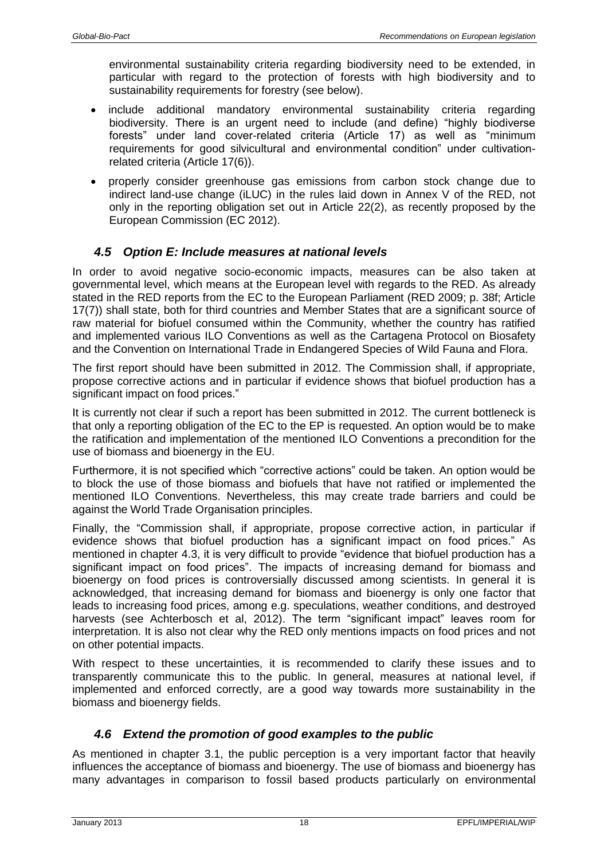environmental sustainability criteria regarding biodiversity need to be extended, in particular with regard to the protection of forests with high biodiversity and to sustainability requirements for forestry (see below).

- include additional mandatory environmental sustainability criteria regarding biodiversity. There is an urgent need to include (and define) "highly biodiverse forests" under land cover-related criteria (Article 17) as well as "minimum requirements for good silvicultural and environmental condition" under cultivationrelated criteria (Article 17(6)).
- properly consider greenhouse gas emissions from carbon stock change due to indirect land-use change (iLUC) in the rules laid down in Annex V of the RED, not only in the reporting obligation set out in Article 22(2), as recently proposed by the European Commission (EC 2012).

## <span id="page-17-0"></span>*4.5 Option E: Include measures at national levels*

In order to avoid negative socio-economic impacts, measures can be also taken at governmental level, which means at the European level with regards to the RED. As already stated in the RED reports from the EC to the European Parliament (RED 2009; p. 38f; Article 17(7)) shall state, both for third countries and Member States that are a significant source of raw material for biofuel consumed within the Community, whether the country has ratified and implemented various ILO Conventions as well as the Cartagena Protocol on Biosafety and the Convention on International Trade in Endangered Species of Wild Fauna and Flora.

The first report should have been submitted in 2012. The Commission shall, if appropriate, propose corrective actions and in particular if evidence shows that biofuel production has a significant impact on food prices."

It is currently not clear if such a report has been submitted in 2012. The current bottleneck is that only a reporting obligation of the EC to the EP is requested. An option would be to make the ratification and implementation of the mentioned ILO Conventions a precondition for the use of biomass and bioenergy in the EU.

Furthermore, it is not specified which "corrective actions" could be taken. An option would be to block the use of those biomass and biofuels that have not ratified or implemented the mentioned ILO Conventions. Nevertheless, this may create trade barriers and could be against the World Trade Organisation principles.

Finally, the "Commission shall, if appropriate, propose corrective action, in particular if evidence shows that biofuel production has a significant impact on food prices." As mentioned in chapter [4.3,](#page-15-2) it is very difficult to provide "evidence that biofuel production has a significant impact on food prices". The impacts of increasing demand for biomass and bioenergy on food prices is controversially discussed among scientists. In general it is acknowledged, that increasing demand for biomass and bioenergy is only one factor that leads to increasing food prices, among e.g. speculations, weather conditions, and destroyed harvests (see Achterbosch et al, 2012). The term "significant impact" leaves room for interpretation. It is also not clear why the RED only mentions impacts on food prices and not on other potential impacts.

With respect to these uncertainties, it is recommended to clarify these issues and to transparently communicate this to the public. In general, measures at national level, if implemented and enforced correctly, are a good way towards more sustainability in the biomass and bioenergy fields.

#### <span id="page-17-1"></span>*4.6 Extend the promotion of good examples to the public*

As mentioned in chapter [3.1,](#page-9-0) the public perception is a very important factor that heavily influences the acceptance of biomass and bioenergy. The use of biomass and bioenergy has many advantages in comparison to fossil based products particularly on environmental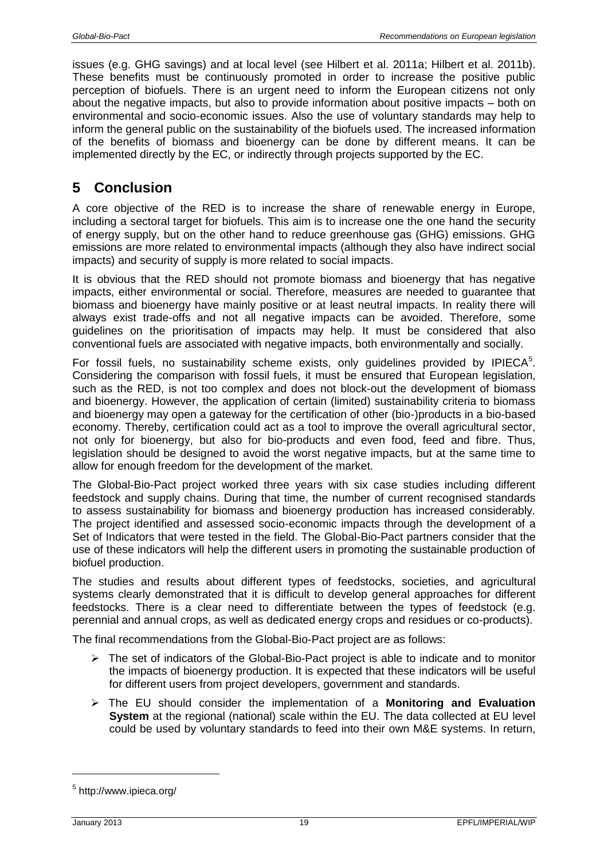issues (e.g. GHG savings) and at local level (see Hilbert et al. 2011a; Hilbert et al. 2011b). These benefits must be continuously promoted in order to increase the positive public perception of biofuels. There is an urgent need to inform the European citizens not only about the negative impacts, but also to provide information about positive impacts – both on environmental and socio-economic issues. Also the use of voluntary standards may help to inform the general public on the sustainability of the biofuels used. The increased information of the benefits of biomass and bioenergy can be done by different means. It can be implemented directly by the EC, or indirectly through projects supported by the EC.

# <span id="page-18-0"></span>**5 Conclusion**

A core objective of the RED is to increase the share of renewable energy in Europe, including a sectoral target for biofuels. This aim is to increase one the one hand the security of energy supply, but on the other hand to reduce greenhouse gas (GHG) emissions. GHG emissions are more related to environmental impacts (although they also have indirect social impacts) and security of supply is more related to social impacts.

It is obvious that the RED should not promote biomass and bioenergy that has negative impacts, either environmental or social. Therefore, measures are needed to guarantee that biomass and bioenergy have mainly positive or at least neutral impacts. In reality there will always exist trade-offs and not all negative impacts can be avoided. Therefore, some guidelines on the prioritisation of impacts may help. It must be considered that also conventional fuels are associated with negative impacts, both environmentally and socially.

For fossil fuels, no sustainability scheme exists, only guidelines provided by IPIECA $5$ . Considering the comparison with fossil fuels, it must be ensured that European legislation, such as the RED, is not too complex and does not block-out the development of biomass and bioenergy. However, the application of certain (limited) sustainability criteria to biomass and bioenergy may open a gateway for the certification of other (bio-)products in a bio-based economy. Thereby, certification could act as a tool to improve the overall agricultural sector, not only for bioenergy, but also for bio-products and even food, feed and fibre. Thus, legislation should be designed to avoid the worst negative impacts, but at the same time to allow for enough freedom for the development of the market.

The Global-Bio-Pact project worked three years with six case studies including different feedstock and supply chains. During that time, the number of current recognised standards to assess sustainability for biomass and bioenergy production has increased considerably. The project identified and assessed socio-economic impacts through the development of a Set of Indicators that were tested in the field. The Global-Bio-Pact partners consider that the use of these indicators will help the different users in promoting the sustainable production of biofuel production.

The studies and results about different types of feedstocks, societies, and agricultural systems clearly demonstrated that it is difficult to develop general approaches for different feedstocks. There is a clear need to differentiate between the types of feedstock (e.g. perennial and annual crops, as well as dedicated energy crops and residues or co-products).

The final recommendations from the Global-Bio-Pact project are as follows:

- $\triangleright$  The set of indicators of the Global-Bio-Pact project is able to indicate and to monitor the impacts of bioenergy production. It is expected that these indicators will be useful for different users from project developers, government and standards.
- The EU should consider the implementation of a **Monitoring and Evaluation System** at the regional (national) scale within the EU. The data collected at EU level could be used by voluntary standards to feed into their own M&E systems. In return,

 $\overline{a}$ 

<sup>&</sup>lt;sup>5</sup> http://www.ipieca.org/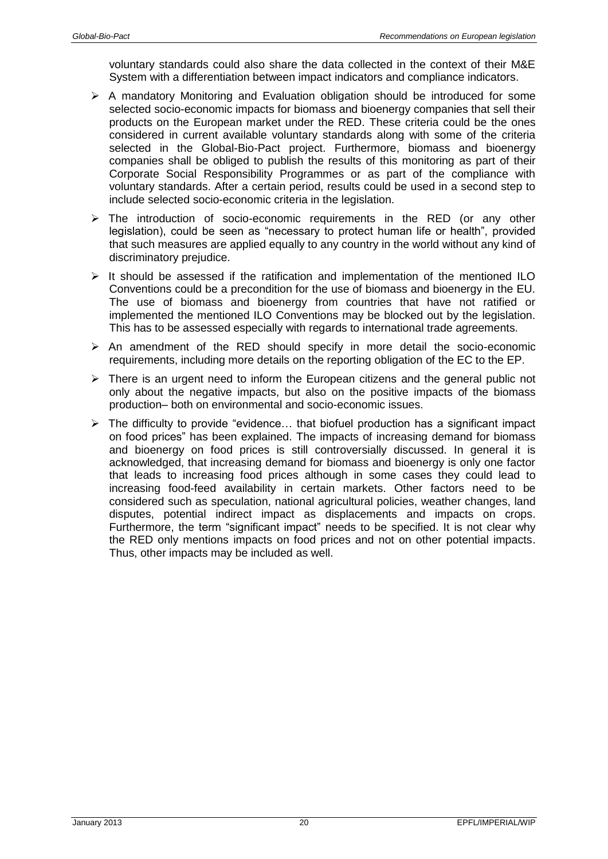voluntary standards could also share the data collected in the context of their M&E System with a differentiation between impact indicators and compliance indicators.

- $\triangleright$  A mandatory Monitoring and Evaluation obligation should be introduced for some selected socio-economic impacts for biomass and bioenergy companies that sell their products on the European market under the RED. These criteria could be the ones considered in current available voluntary standards along with some of the criteria selected in the Global-Bio-Pact project. Furthermore, biomass and bioenergy companies shall be obliged to publish the results of this monitoring as part of their Corporate Social Responsibility Programmes or as part of the compliance with voluntary standards. After a certain period, results could be used in a second step to include selected socio-economic criteria in the legislation.
- $\triangleright$  The introduction of socio-economic requirements in the RED (or any other legislation), could be seen as "necessary to protect human life or health", provided that such measures are applied equally to any country in the world without any kind of discriminatory prejudice.
- $\triangleright$  It should be assessed if the ratification and implementation of the mentioned ILO Conventions could be a precondition for the use of biomass and bioenergy in the EU. The use of biomass and bioenergy from countries that have not ratified or implemented the mentioned ILO Conventions may be blocked out by the legislation. This has to be assessed especially with regards to international trade agreements.
- $\triangleright$  An amendment of the RED should specify in more detail the socio-economic requirements, including more details on the reporting obligation of the EC to the EP.
- $\triangleright$  There is an urgent need to inform the European citizens and the general public not only about the negative impacts, but also on the positive impacts of the biomass production– both on environmental and socio-economic issues.
- $\triangleright$  The difficulty to provide "evidence... that biofuel production has a significant impact on food prices" has been explained. The impacts of increasing demand for biomass and bioenergy on food prices is still controversially discussed. In general it is acknowledged, that increasing demand for biomass and bioenergy is only one factor that leads to increasing food prices although in some cases they could lead to increasing food-feed availability in certain markets. Other factors need to be considered such as speculation, national agricultural policies, weather changes, land disputes, potential indirect impact as displacements and impacts on crops. Furthermore, the term "significant impact" needs to be specified. It is not clear why the RED only mentions impacts on food prices and not on other potential impacts. Thus, other impacts may be included as well.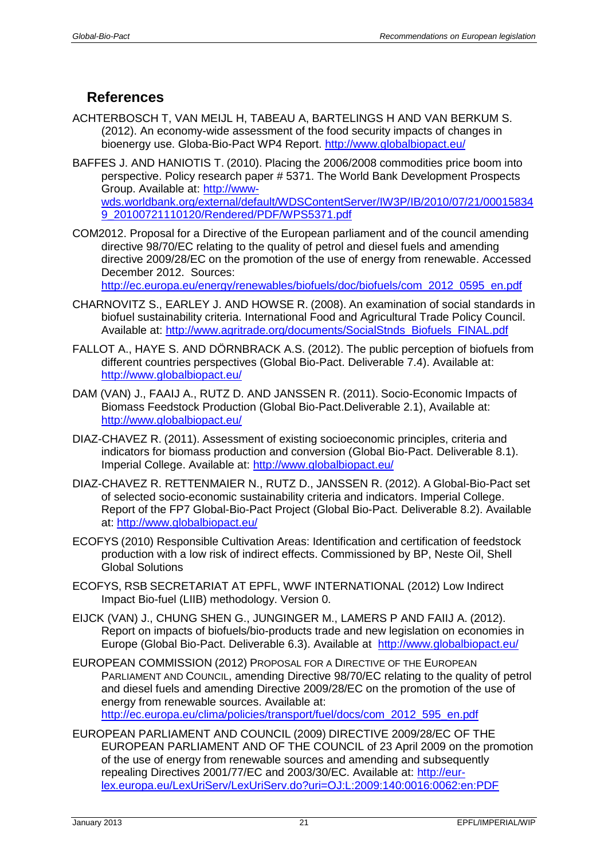# <span id="page-20-0"></span>**References**

- ACHTERBOSCH T, VAN MEIJL H, TABEAU A, BARTELINGS H AND VAN BERKUM S. (2012). An economy-wide assessment of the food security impacts of changes in bioenergy use. Globa-Bio-Pact WP4 Report.<http://www.globalbiopact.eu/>
- BAFFES J. AND HANIOTIS T. (2010). Placing the 2006/2008 commodities price boom into perspective. Policy research paper # 5371. The World Bank Development Prospects Group. Available at: [http://www](http://www-wds.worldbank.org/external/default/WDSContentServer/IW3P/IB/2010/07/21/000158349_20100721110120/Rendered/PDF/WPS5371.pdf)[wds.worldbank.org/external/default/WDSContentServer/IW3P/IB/2010/07/21/00015834](http://www-wds.worldbank.org/external/default/WDSContentServer/IW3P/IB/2010/07/21/000158349_20100721110120/Rendered/PDF/WPS5371.pdf) [9\\_20100721110120/Rendered/PDF/WPS5371.pdf](http://www-wds.worldbank.org/external/default/WDSContentServer/IW3P/IB/2010/07/21/000158349_20100721110120/Rendered/PDF/WPS5371.pdf)
- COM2012. Proposal for a Directive of the European parliament and of the council amending directive 98/70/EC relating to the quality of petrol and diesel fuels and amending directive 2009/28/EC on the promotion of the use of energy from renewable. Accessed December 2012. Sources:

[http://ec.europa.eu/energy/renewables/biofuels/doc/biofuels/com\\_2012\\_0595\\_en.pdf](http://ec.europa.eu/energy/renewables/biofuels/doc/biofuels/com_2012_0595_en.pdf)

- CHARNOVITZ S., EARLEY J. AND HOWSE R. (2008). An examination of social standards in biofuel sustainability criteria. International Food and Agricultural Trade Policy Council. Available at: [http://www.agritrade.org/documents/SocialStnds\\_Biofuels\\_FINAL.pdf](http://www.agritrade.org/documents/SocialStnds_Biofuels_FINAL.pdf)
- FALLOT A., HAYE S. AND DÖRNBRACK A.S. (2012). The public perception of biofuels from different countries perspectives (Global Bio-Pact. Deliverable 7.4). Available at: <http://www.globalbiopact.eu/>
- DAM (VAN) J., FAAIJ A., RUTZ D. AND JANSSEN R. (2011). Socio-Economic Impacts of Biomass Feedstock Production (Global Bio-Pact.Deliverable 2.1), Available at: <http://www.globalbiopact.eu/>
- DIAZ-CHAVEZ R. (2011). Assessment of existing socioeconomic principles, criteria and indicators for biomass production and conversion (Global Bio-Pact. Deliverable 8.1). Imperial College. Available at: <http://www.globalbiopact.eu/>
- DIAZ-CHAVEZ R. RETTENMAIER N., RUTZ D., JANSSEN R. (2012). A Global-Bio-Pact set of selected socio-economic sustainability criteria and indicators. Imperial College. Report of the FP7 Global-Bio-Pact Project (Global Bio-Pact. Deliverable 8.2). Available at: <http://www.globalbiopact.eu/>
- ECOFYS (2010) Responsible Cultivation Areas: Identification and certification of feedstock production with a low risk of indirect effects. Commissioned by BP, Neste Oil, Shell Global Solutions
- ECOFYS, RSB SECRETARIAT AT EPFL, WWF INTERNATIONAL (2012) Low Indirect Impact Bio-fuel (LIIB) methodology. Version 0.
- EIJCK (VAN) J., CHUNG SHEN G., JUNGINGER M., LAMERS P AND FAIIJ A. (2012). Report on impacts of biofuels/bio-products trade and new legislation on economies in Europe (Global Bio-Pact. Deliverable 6.3). Available at <http://www.globalbiopact.eu/>
- EUROPEAN COMMISSION (2012) PROPOSAL FOR A DIRECTIVE OF THE EUROPEAN PARLIAMENT AND COUNCIL, amending Directive 98/70/EC relating to the quality of petrol and diesel fuels and amending Directive 2009/28/EC on the promotion of the use of energy from renewable sources. Available at: [http://ec.europa.eu/clima/policies/transport/fuel/docs/com\\_2012\\_595\\_en.pdf](http://ec.europa.eu/clima/policies/transport/fuel/docs/com_2012_595_en.pdf)

EUROPEAN PARLIAMENT AND COUNCIL (2009) DIRECTIVE 2009/28/EC OF THE EUROPEAN PARLIAMENT AND OF THE COUNCIL of 23 April 2009 on the promotion of the use of energy from renewable sources and amending and subsequently repealing Directives 2001/77/EC and 2003/30/EC. Available at: [http://eur](http://eur-lex.europa.eu/LexUriServ/LexUriServ.do?uri=OJ:L:2009:140:0016:0062:en:PDF)[lex.europa.eu/LexUriServ/LexUriServ.do?uri=OJ:L:2009:140:0016:0062:en:PDF](http://eur-lex.europa.eu/LexUriServ/LexUriServ.do?uri=OJ:L:2009:140:0016:0062:en:PDF)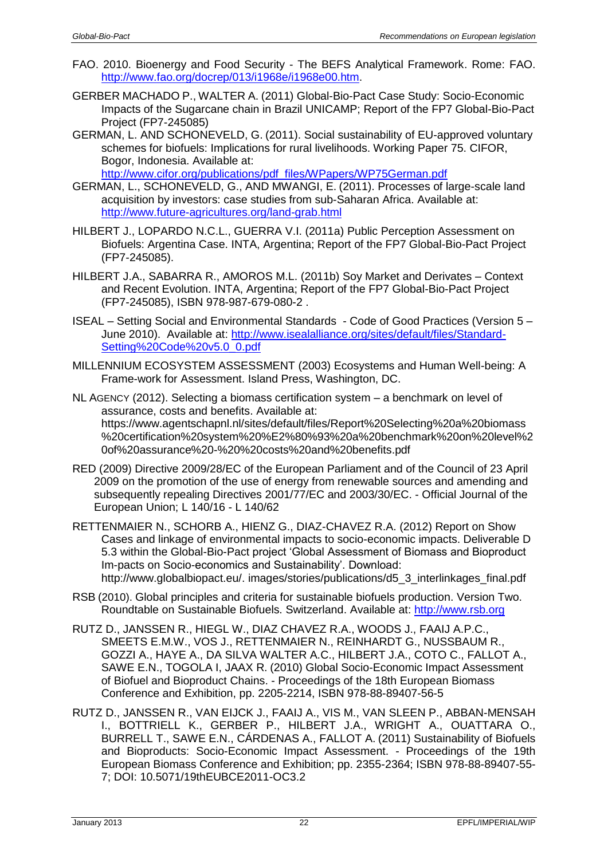- FAO. 2010. Bioenergy and Food Security The BEFS Analytical Framework. Rome: FAO. [http://www.fao.org/docrep/013/i1968e/i1968e00.htm.](http://www.fao.org/docrep/013/i1968e/i1968e00.htm)
- GERBER MACHADO P., WALTER A. (2011) Global-Bio-Pact Case Study: Socio-Economic Impacts of the Sugarcane chain in Brazil UNICAMP; Report of the FP7 Global-Bio-Pact Project (FP7-245085)
- GERMAN, L. AND SCHONEVELD, G. (2011). Social sustainability of EU-approved voluntary schemes for biofuels: Implications for rural livelihoods. Working Paper 75. CIFOR, Bogor, Indonesia. Available at:
	- [http://www.cifor.org/publications/pdf\\_files/WPapers/WP75German.pdf](http://www.cifor.org/publications/pdf_files/WPapers/WP75German.pdf)
- GERMAN, L., SCHONEVELD, G., AND MWANGI, E. (2011). Processes of large-scale land acquisition by investors: case studies from sub-Saharan Africa. Available at: <http://www.future-agricultures.org/land-grab.html>
- HILBERT J., LOPARDO N.C.L., GUERRA V.I. (2011a) Public Perception Assessment on Biofuels: Argentina Case. INTA, Argentina; Report of the FP7 Global-Bio-Pact Project (FP7-245085).
- HILBERT J.A., SABARRA R., AMOROS M.L. (2011b) Soy Market and Derivates Context and Recent Evolution. INTA, Argentina; Report of the FP7 Global-Bio-Pact Project (FP7-245085), ISBN 978-987-679-080-2 .
- ISEAL Setting Social and Environmental Standards Code of Good Practices (Version 5 June 2010). Available at: http://www.isealalliance.org/sites/default/files/Standard-Setting%20Code%20v5.0\_0.pdf
- MILLENNIUM ECOSYSTEM ASSESSMENT (2003) Ecosystems and Human Well-being: A Frame-work for Assessment. Island Press, Washington, DC.
- NL AGENCY (2012). Selecting a biomass certification system a benchmark on level of assurance, costs and benefits. Available at: https://www.agentschapnl.nl/sites/default/files/Report%20Selecting%20a%20biomass %20certification%20system%20%E2%80%93%20a%20benchmark%20on%20level%2 0of%20assurance%20-%20%20costs%20and%20benefits.pdf
- RED (2009) Directive 2009/28/EC of the European Parliament and of the Council of 23 April 2009 on the promotion of the use of energy from renewable sources and amending and subsequently repealing Directives 2001/77/EC and 2003/30/EC. - Official Journal of the European Union; L 140/16 - L 140/62
- RETTENMAIER N., SCHORB A., HIENZ G., DIAZ-CHAVEZ R.A. (2012) Report on Show Cases and linkage of environmental impacts to socio-economic impacts. Deliverable D 5.3 within the Global-Bio-Pact project 'Global Assessment of Biomass and Bioproduct Im-pacts on Socio-economics and Sustainability'. Download: [http://www.globalbiopact.eu/.](http://www.globalbiopact.eu/) images/stories/publications/d5\_3\_interlinkages\_final.pdf
- RSB (2010). Global principles and criteria for sustainable biofuels production. Version Two. Roundtable on Sustainable Biofuels. Switzerland. Available at: [http://www.rsb.org](http://www.rsb.org/)
- RUTZ D., JANSSEN R., HIEGL W., DIAZ CHAVEZ R.A., WOODS J., FAAIJ A.P.C., SMEETS E.M.W., VOS J., RETTENMAIER N., REINHARDT G., NUSSBAUM R., GOZZI A., HAYE A., DA SILVA WALTER A.C., HILBERT J.A., COTO C., FALLOT A., SAWE E.N., TOGOLA I, JAAX R. (2010) Global Socio-Economic Impact Assessment of Biofuel and Bioproduct Chains. - Proceedings of the 18th European Biomass Conference and Exhibition, pp. 2205-2214, ISBN 978-88-89407-56-5
- RUTZ D., JANSSEN R., VAN EIJCK J., FAAIJ A., VIS M., VAN SLEEN P., ABBAN-MENSAH I., BOTTRIELL K., GERBER P., HILBERT J.A., WRIGHT A., OUATTARA O., BURRELL T., SAWE E.N., CÁRDENAS A., FALLOT A. (2011) Sustainability of Biofuels and Bioproducts: Socio-Economic Impact Assessment. - Proceedings of the 19th European Biomass Conference and Exhibition; pp. 2355-2364; ISBN 978-88-89407-55- 7; DOI: 10.5071/19thEUBCE2011-OC3.2